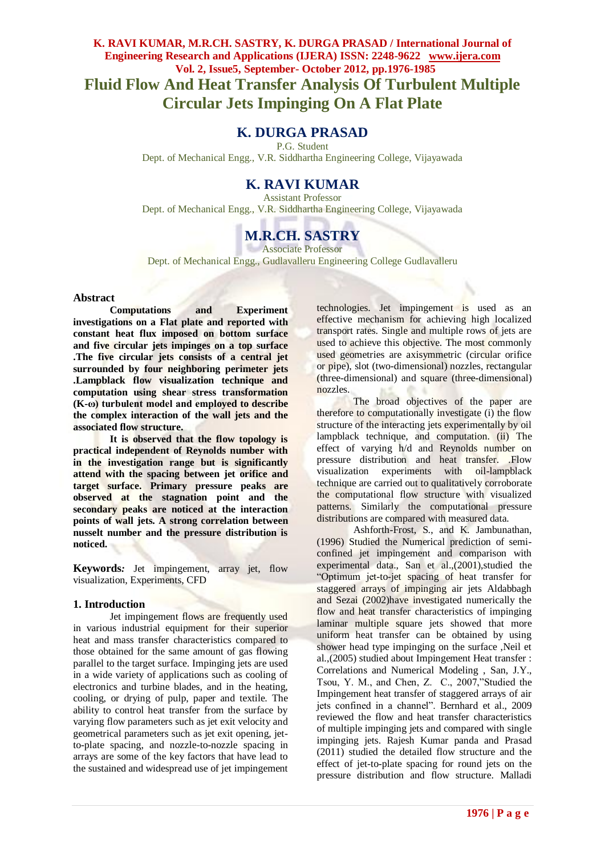# **K. RAVI KUMAR, M.R.CH. SASTRY, K. DURGA PRASAD / International Journal of Engineering Research and Applications (IJERA) ISSN: 2248-9622 www.ijera.com Vol. 2, Issue5, September- October 2012, pp.1976-1985 Fluid Flow And Heat Transfer Analysis Of Turbulent Multiple Circular Jets Impinging On A Flat Plate**

# **K. DURGA PRASAD**

P.G. Student Dept. of Mechanical Engg., V.R. Siddhartha Engineering College, Vijayawada

# **K. RAVI KUMAR**

Assistant Professor Dept. of Mechanical Engg., V.R. Siddhartha Engineering College, Vijayawada

# **M.R.CH. SASTRY**

Associate Professor

Dept. of Mechanical Engg., Gudlavalleru Engineering College Gudlavalleru

#### **Abstract**

**Computations and Experiment investigations on a Flat plate and reported with constant heat flux imposed on bottom surface and five circular jets impinges on a top surface .The five circular jets consists of a central jet surrounded by four neighboring perimeter jets .Lampblack flow visualization technique and computation using shear stress transformation (K-ω) turbulent model and employed to describe the complex interaction of the wall jets and the associated flow structure.**

**It is observed that the flow topology is practical independent of Reynolds number with in the investigation range but is significantly attend with the spacing between jet orifice and target surface. Primary pressure peaks are observed at the stagnation point and the secondary peaks are noticed at the interaction points of wall jets. A strong correlation between nusselt number and the pressure distribution is noticed.**

**Keywords***:* Jet impingement, array jet, flow visualization, Experiments, CFD

#### **1. Introduction**

Jet impingement flows are frequently used in various industrial equipment for their superior heat and mass transfer characteristics compared to those obtained for the same amount of gas flowing parallel to the target surface. Impinging jets are used in a wide variety of applications such as cooling of electronics and turbine blades, and in the heating, cooling, or drying of pulp, paper and textile. The ability to control heat transfer from the surface by varying flow parameters such as jet exit velocity and geometrical parameters such as jet exit opening, jetto-plate spacing, and nozzle-to-nozzle spacing in arrays are some of the key factors that have lead to the sustained and widespread use of jet impingement technologies. Jet impingement is used as an effective mechanism for achieving high localized transport rates. Single and multiple rows of jets are used to achieve this objective. The most commonly used geometries are axisymmetric (circular orifice or pipe), slot (two-dimensional) nozzles, rectangular (three-dimensional) and square (three-dimensional) nozzles.

The broad objectives of the paper are therefore to computationally investigate (i) the flow structure of the interacting jets experimentally by oil lampblack technique, and computation. (ii) The effect of varying h/d and Reynolds number on pressure distribution and heat transfer. .Flow visualization experiments with oil-lampblack technique are carried out to qualitatively corroborate the computational flow structure with visualized patterns. Similarly the computational pressure distributions are compared with measured data.

Ashforth-Frost, S., and K. Jambunathan, (1996) Studied the Numerical prediction of semiconfined jet impingement and comparison with experimental data., San et al.,(2001), studied the "Optimum jet-to-jet spacing of heat transfer for staggered arrays of impinging air jets Aldabbagh and Sezai (2002)have investigated numerically the flow and heat transfer characteristics of impinging laminar multiple square jets showed that more uniform heat transfer can be obtained by using shower head type impinging on the surface ,Neil et al.,(2005) studied about Impingement Heat transfer : Correlations and Numerical Modeling , San, J.Y., Tsou, Y. M., and Chen, Z. C., 2007,"Studied the Impingement heat transfer of staggered arrays of air jets confined in a channel". Bernhard et al., 2009 reviewed the flow and heat transfer characteristics of multiple impinging jets and compared with single impinging jets. Rajesh Kumar panda and Prasad (2011) studied the detailed flow structure and the effect of jet-to-plate spacing for round jets on the pressure distribution and flow structure. Malladi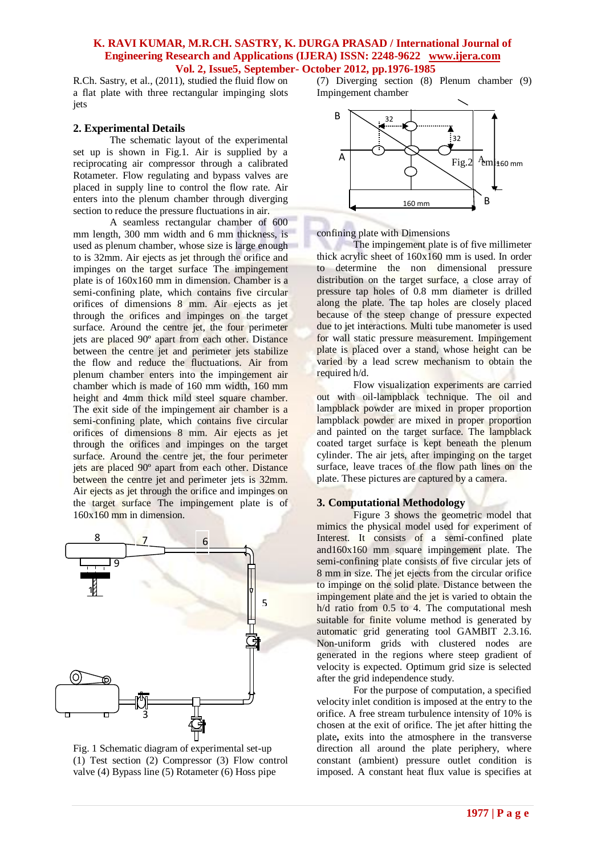R.Ch. Sastry, et al., (2011), studied the fluid flow on a flat plate with three rectangular impinging slots jets

#### **2. Experimental Details**

The schematic layout of the experimental set up is shown in Fig.1. Air is supplied by a reciprocating air compressor through a calibrated Rotameter. Flow regulating and bypass valves are placed in supply line to control the flow rate. Air enters into the plenum chamber through diverging section to reduce the pressure fluctuations in air.

A seamless rectangular chamber of 600 mm length, 300 mm width and 6 mm thickness, is used as plenum chamber, whose size is large enough to is 32mm. Air ejects as jet through the orifice and impinges on the target surface The impingement plate is of 160x160 mm in dimension. Chamber is a semi-confining plate, which contains five circular orifices of dimensions 8 mm. Air ejects as jet through the orifices and impinges on the target surface. Around the centre jet, the four perimeter jets are placed 90º apart from each other. Distance between the centre jet and perimeter jets stabilize the flow and reduce the fluctuations. Air from plenum chamber enters into the impingement air chamber which is made of 160 mm width, 160 mm height and 4mm thick mild steel square chamber. The exit side of the impingement air chamber is a semi-confining plate, which contains five circular orifices of dimensions 8 mm. Air ejects as jet through the orifices and impinges on the target surface. Around the centre jet, the four perimeter jets are placed 90º apart from each other. Distance between the centre jet and perimeter jets is 32mm. Air ejects as jet through the orifice and impinges on the target surface The impingement plate is of 160x160 mm in dimension.



Fig. 1 Schematic diagram of experimental set-up (1) Test section (2) Compressor (3) Flow control valve (4) Bypass line (5) Rotameter (6) Hoss pipe

(7) Diverging section (8) Plenum chamber (9) Impingement chamber



confining plate with Dimensions

The impingement plate is of five millimeter thick acrylic sheet of 160x160 mm is used. In order to determine the non dimensional pressure distribution on the target surface, a close array of pressure tap holes of 0.8 mm diameter is drilled along the plate. The tap holes are closely placed because of the steep change of pressure expected due to jet interactions. Multi tube manometer is used for wall static pressure measurement. Impingement plate is placed over a stand, whose height can be varied by a lead screw mechanism to obtain the required h/d.

Flow visualization experiments are carried out with oil-lampblack technique. The oil and lampblack powder are mixed in proper proportion lampblack powder are mixed in proper proportion and painted on the target surface. The lampblack coated target surface is kept beneath the plenum cylinder. The air jets, after impinging on the target surface, leave traces of the flow path lines on the plate. These pictures are captured by a camera.

#### **3. Computational Methodology**

Figure 3 shows the geometric model that mimics the physical model used for experiment of Interest. It consists of a semi-confined plate and160x160 mm square impingement plate. The semi-confining plate consists of five circular jets of 8 mm in size. The jet ejects from the circular orifice to impinge on the solid plate. Distance between the impingement plate and the jet is varied to obtain the h/d ratio from 0.5 to 4. The computational mesh suitable for finite volume method is generated by automatic grid generating tool GAMBIT 2.3.16. Non-uniform grids with clustered nodes are generated in the regions where steep gradient of velocity is expected. Optimum grid size is selected after the grid independence study.

For the purpose of computation, a specified velocity inlet condition is imposed at the entry to the orifice. A free stream turbulence intensity of 10% is chosen at the exit of orifice. The jet after hitting the plate**,** exits into the atmosphere in the transverse direction all around the plate periphery, where constant (ambient) pressure outlet condition is imposed. A constant heat flux value is specifies at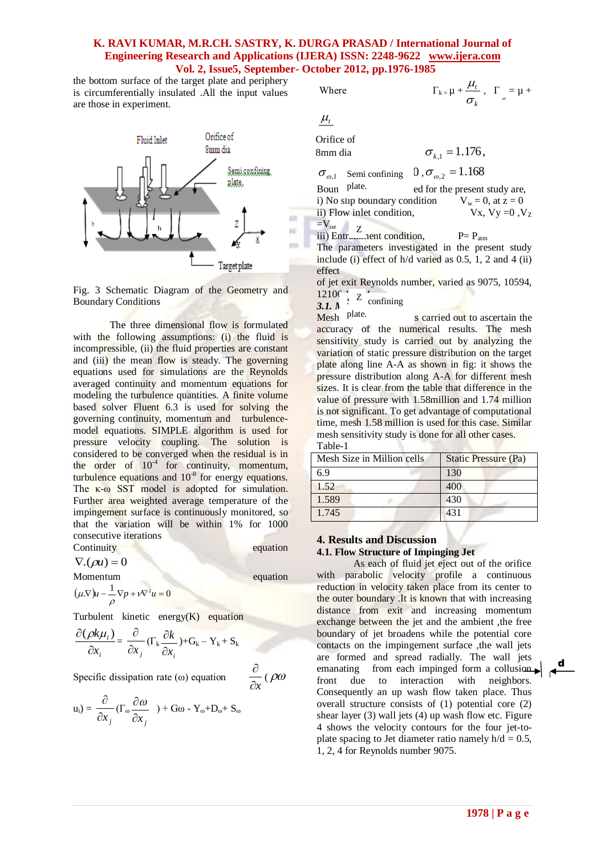the bottom surface of the target plate and periphery is circumferentially insulated .All the input values are those in experiment.



Fig. 3 Schematic Diagram of the Geometry and Boundary Conditions

The three dimensional flow is formulated with the following assumptions: (i) the fluid is incompressible, (ii) the fluid properties are constant and (iii) the mean flow is steady. The governing equations used for simulations are the Reynolds averaged continuity and momentum equations for modeling the turbulence quantities. A finite volume based solver Fluent 6.3 is used for solving the governing continuity, momentum and turbulencemodel equations. SIMPLE algorithm is used for pressure velocity coupling. The solution is considered to be converged when the residual is in the order of  $10^{-4}$  for continuity, momentum, turbulence equations and  $10^{-8}$  for energy equations. The κ-ω SST model is adopted for simulation. Further area weighted average temperature of the impingement surface is continuously monitored, so that the variation will be within 1% for 1000 consecutive iterations Continuity equation

 $\nabla$ . $(\rho u) = 0$ 

$$
(\mu \nabla)u - \frac{1}{\rho} \nabla p + v \nabla^2 u = 0
$$

Turbulent kinetic energy(K) equation

$$
\frac{\partial(\rho k\mu_i)}{\partial x_i} = \frac{\partial}{\partial x_j} (\Gamma_k \frac{\partial k}{\partial x_i}) + G_k - Y_k + S_k
$$

Specific dissipation rate  $(\omega)$  equation

$$
u_i) = \frac{\partial}{\partial x_j} (\Gamma_\omega \frac{\partial \omega}{\partial x_j}) + G\omega - Y_\omega + D_\omega + S_\omega
$$

Where  $\Gamma_{k} = \mu +$ 

$$
\mu_{\scriptscriptstyle t}
$$

Orifice of 8mm dia

 $\sigma_{k_1} = 1.176$ ,

*k t*  $\sigma$ 

 $\frac{\mu_t}{\sigma}$ ,  $\Gamma$  =  $\mu$  +

 $\sigma_{\omega,1}$  Semi confining  $0, \sigma_{\omega,2} = 1.168$ 

ed for the present study are,<br>dition  $V_w = 0$ , at  $z = 0$ i) No slip boundary condition  $V_w = 0$ , at  $z = 0$ <br>ii) Flow inlet condition,  $V_x$ ,  $V_y = 0$ ,  $V_z$ ii) Flow inlet condition,  $=V_{\text{oe}}$ Boun plate.

The parameters investigated in the present study include (i) effect of  $h/d$  varied as 0.5, 1, 2 and 4 (ii) effect

of jet exit Reynolds number, varied as 9075, 10594,  $121067 \times 7$ 

 $\frac{12106}{3.1. \text{ N}}$   $\frac{z}{x}$  confining

s carried out to ascertain the accuracy of the numerical results. The mesh sensitivity study is carried out by analyzing the variation of static pressure distribution on the target plate along line A-A as shown in fig: it shows the pressure distribution along A-A for different mesh sizes. It is clear from the table that difference in the value of pressure with 1.58million and 1.74 million is not significant. To get advantage of computational time, mesh 1.58 million is used for this case. Similar mesh sensitivity study is done for all other cases. Table-1 Mesh plate.

| Mesh Size in Million cells | Static Pressure (Pa) |
|----------------------------|----------------------|
| 6.9                        | 130                  |
| 1.52                       | 400                  |
| 1.589                      | 430                  |
| 1.745                      | 431                  |

#### **4. Results and Discussion**

equation

*x*  $\frac{\partial}{\partial y}$  (  $\rho \omega$ 

#### **4.1. Flow Structure of Impinging Jet**

As each of fluid jet eject out of the orifice with parabolic velocity profile a continuous reduction in velocity taken place from its center to the outer boundary .It is known that with increasing distance from exit and increasing momentum exchange between the jet and the ambient ,the free boundary of jet broadens while the potential core contacts on the impingement surface , the wall jets are formed and spread radially. The wall jets emanating from each impinged form a collusion  $\blacktriangleright$ front due to interaction with neighbors. Consequently an up wash flow taken place. Thus overall structure consists of (1) potential core (2) shear layer (3) wall jets (4) up wash flow etc. Figure 4 shows the velocity contours for the four jet-toplate spacing to Jet diameter ratio namely  $h/d = 0.5$ , 1, 2, 4 for Reynolds number 9075. **<sup>h</sup>**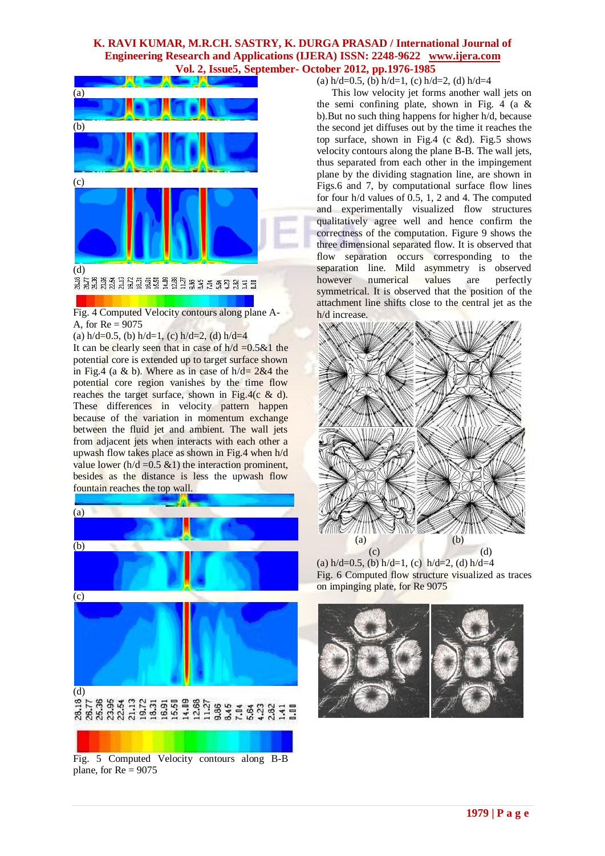

Fig. 4 Computed Velocity contours along plane A-A, for  $Re = 9075$ 

(a)  $h/d=0.5$ , (b)  $h/d=1$ , (c)  $h/d=2$ , (d)  $h/d=4$ 

It can be clearly seen that in case of  $h/d = 0.5 \& 1$  the potential core is extended up to target surface shown in Fig.4 (a & b). Where as in case of  $h/d = 2\&4$  the potential core region vanishes by the time flow reaches the target surface, shown in Fig.4( $c \& d$ ). These differences in velocity pattern happen because of the variation in momentum exchange between the fluid jet and ambient. The wall jets from adjacent jets when interacts with each other a upwash flow takes place as shown in Fig.4 when h/d value lower ( $h/d = 0.5 \& 1$ ) the interaction prominent, besides as the distance is less the upwash flow fountain reaches the top wall.



Fig. 5 Computed Velocity contours along B-B plane, for  $Re = 9075$ 

(a)  $h/d=0.5$ , (b)  $h/d=1$ , (c)  $h/d=2$ , (d)  $h/d=4$ 

the semi confining plate, shown in Fig. 4 (a & This low velocity jet forms another wall jets on b).But no such thing happens for higher h/d, because the second jet diffuses out by the time it reaches the top surface, shown in Fig.4 (c &d). Fig.5 shows velocity contours along the plane B-B. The wall jets, thus separated from each other in the impingement plane by the dividing stagnation line, are shown in Figs.6 and 7, by computational surface flow lines for four h/d values of 0.5, 1, 2 and 4. The computed and experimentally visualized flow structures qualitatively agree well and hence confirm the correctness of the computation. Figure 9 shows the three dimensional separated flow. It is observed that flow separation occurs corresponding to the separation line. Mild asymmetry is observed however numerical values are perfectly symmetrical. It is observed that the position of the attachment line shifts close to the central jet as the h/d increase.



(a)  $h/d=0.5$ , (b)  $h/d=1$ , (c)  $h/d=2$ , (d)  $h/d=4$ Fig. 6 Computed flow structure visualized as traces on impinging plate, for Re 9075

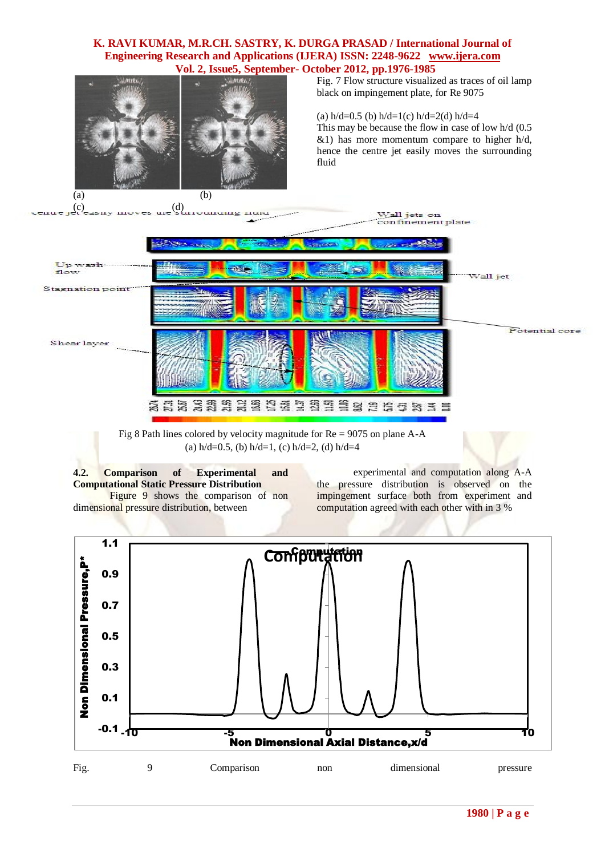

Fig. 7 Flow structure visualized as traces of oil lamp black on impingement plate, for Re 9075

(a)  $h/d=0.5$  (b)  $h/d=1$ (c)  $h/d=2$ (d)  $h/d=4$ 

This may be because the flow in case of low h/d (0.5  $\&$ 1) has more momentum compare to higher h/d, hence the centre jet easily moves the surrounding fluid



Fig 8 Path lines colored by velocity magnitude for Re = 9075 on plane A-A (a)  $h/d=0.5$ , (b)  $h/d=1$ , (c)  $h/d=2$ , (d)  $h/d=4$ 

**4.2. Comparison of Experimental and Computational Static Pressure Distribution** Figure 9 shows the comparison of non dimensional pressure distribution, between

experimental and computation along A-A the pressure distribution is observed on the impingement surface both from experiment and computation agreed with each other with in 3 %

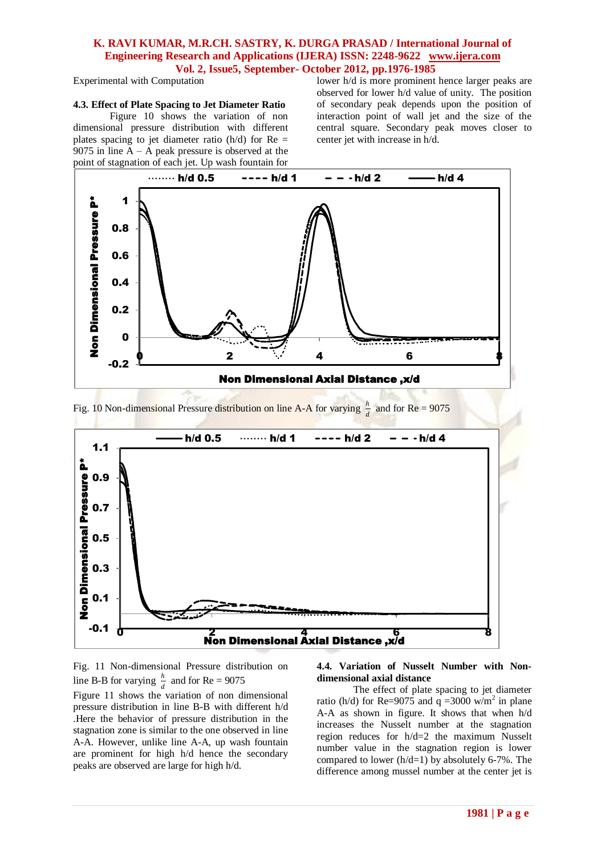Experimental with Computation

## **4.3. Effect of Plate Spacing to Jet Diameter Ratio**

Figure 10 shows the variation of non dimensional pressure distribution with different plates spacing to jet diameter ratio  $(h/d)$  for Re = 9075 in line  $A - A$  peak pressure is observed at the point of stagnation of each jet. Up wash fountain for

lower h/d is more prominent hence larger peaks are observed for lower h/d value of unity. The position of secondary peak depends upon the position of interaction point of wall jet and the size of the central square. Secondary peak moves closer to center jet with increase in h/d.



Fig. 10 Non-dimensional Pressure distribution on line A-A for varying  $\frac{h}{d}$  and for Re = 9075



Fig. 11 Non-dimensional Pressure distribution on line B-B for varying  $\frac{h}{d}$  and for Re = 9075 Figure 11 shows the variation of non dimensional pressure distribution in line B-B with different h/d .Here the behavior of pressure distribution in the stagnation zone is similar to the one observed in line

A-A. However, unlike line A-A, up wash fountain are prominent for high h/d hence the secondary

peaks are observed are large for high h/d.

#### **4.4. Variation of Nusselt Number with Nondimensional axial distance**

The effect of plate spacing to jet diameter ratio (h/d) for Re=9075 and  $q = 3000$  w/m<sup>2</sup> in plane A-A as shown in figure. It shows that when h/d increases the Nusselt number at the stagnation region reduces for h/d=2 the maximum Nusselt number value in the stagnation region is lower compared to lower (h/d=1) by absolutely 6-7%. The difference among mussel number at the center jet is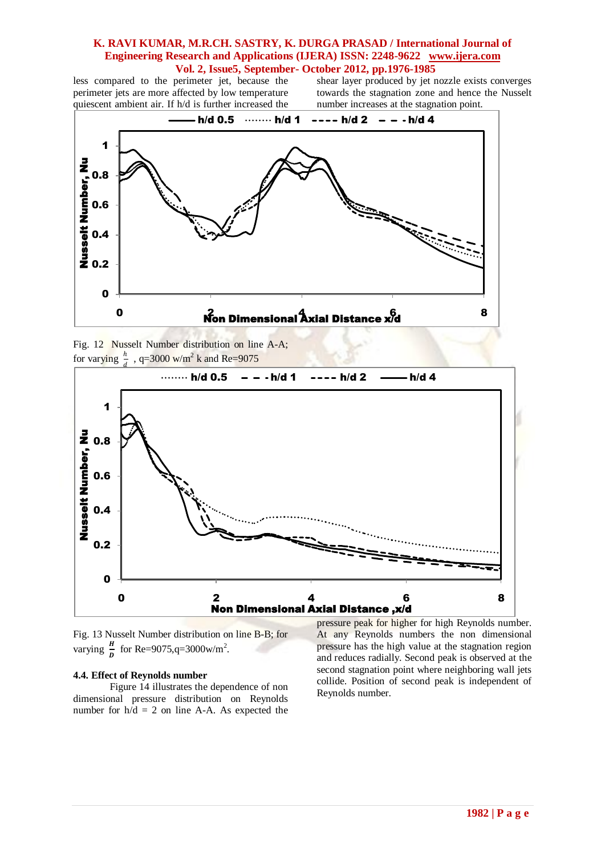less compared to the perimeter jet, because the perimeter jets are more affected by low temperature quiescent ambient air. If h/d is further increased the shear layer produced by jet nozzle exists converges towards the stagnation zone and hence the Nusselt number increases at the stagnation point.







Fig. 13 Nusselt Number distribution on line B-B; for varying  $\frac{H}{D}$  for Re=9075,q=3000w/m<sup>2</sup>.

#### **4.4. Effect of Reynolds number**

Figure 14 illustrates the dependence of non dimensional pressure distribution on Reynolds number for  $h/d = 2$  on line A-A. As expected the

pressure peak for higher for high Reynolds number. At any Reynolds numbers the non dimensional pressure has the high value at the stagnation region and reduces radially. Second peak is observed at the second stagnation point where neighboring wall jets collide. Position of second peak is independent of Reynolds number.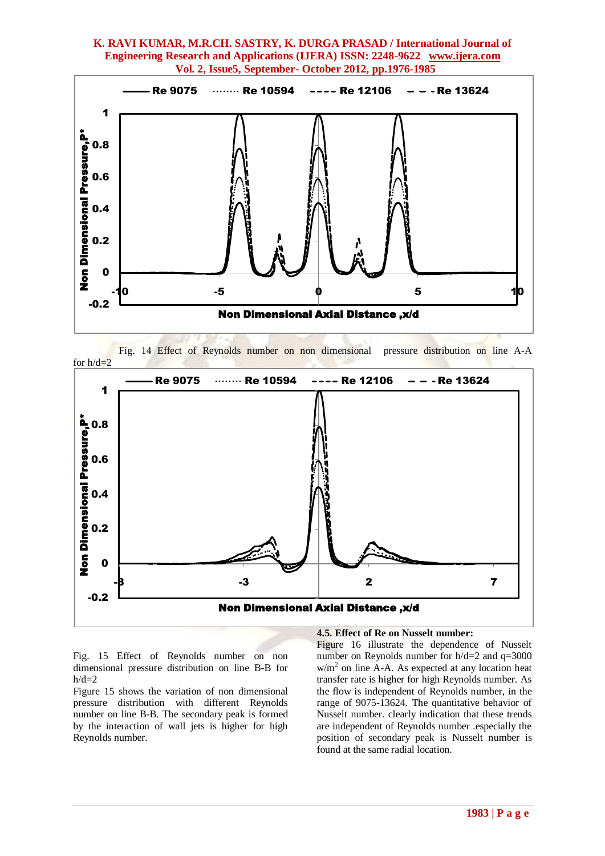

 Fig. 14 Effect of Reynolds number on non dimensional pressure distribution on line A-A for  $h/d=2$ 



Fig. 15 Effect of Reynolds number on non dimensional pressure distribution on line B-B for  $h/d=2$ 

Figure 15 shows the variation of non dimensional pressure distribution with different Reynolds number on line B-B. The secondary peak is formed by the interaction of wall jets is higher for high Reynolds number.

#### **4.5. Effect of Re on Nusselt number:**

Figure 16 illustrate the dependence of Nusselt number on Reynolds number for h/d=2 and q=3000  $w/m<sup>2</sup>$  on line A-A. As expected at any location heat transfer rate is higher for high Reynolds number. As the flow is independent of Reynolds number, in the range of 9075-13624. The quantitative behavior of Nusselt number. clearly indication that these trends are independent of Reynolds number .especially the position of secondary peak is Nusselt number is found at the same radial location.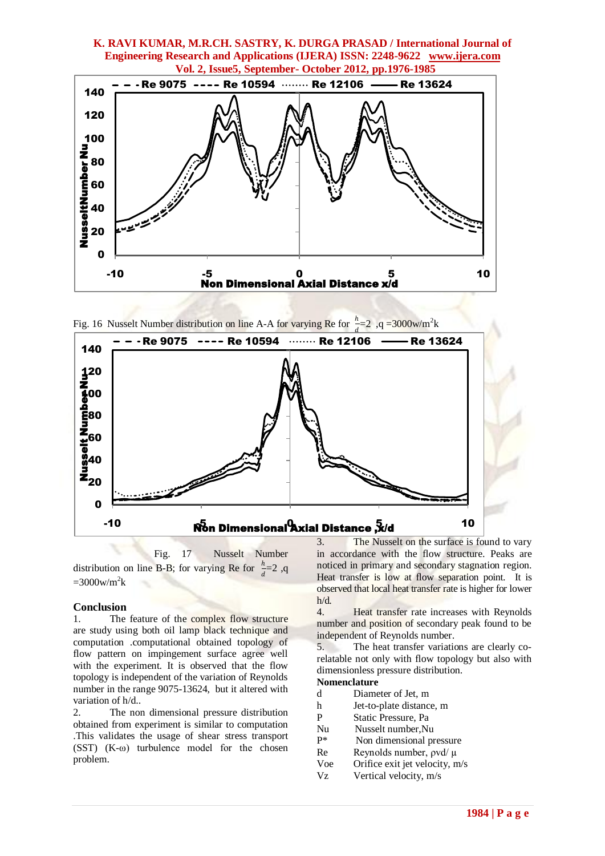

Fig. 16 Nusselt Number distribution on line A-A for varying Re for  $\frac{h}{2}$  $\frac{h}{d}$ =2, q =3000w/m<sup>2</sup>k



 Fig. 17 Nusselt Number distribution on line B-B; for varying Re for  $\frac{h}{A}$  $\frac{n}{d}$ =2, q  $=3000$ w/m<sup>2</sup>k

#### **Conclusion**

1. The feature of the complex flow structure are study using both oil lamp black technique and computation .computational obtained topology of flow pattern on impingement surface agree well with the experiment. It is observed that the flow topology is independent of the variation of Reynolds number in the range 9075-13624, but it altered with variation of h/d..

2. The non dimensional pressure distribution obtained from experiment is similar to computation .This validates the usage of shear stress transport (SST)  $(K-\omega)$  turbulence model for the chosen problem.

3. The Nusselt on the surface is found to vary in accordance with the flow structure. Peaks are noticed in primary and secondary stagnation region. Heat transfer is low at flow separation point. It is observed that local heat transfer rate is higher for lower h/d.

4. Heat transfer rate increases with Reynolds number and position of secondary peak found to be independent of Reynolds number.

5. The heat transfer variations are clearly corelatable not only with flow topology but also with dimensionless pressure distribution.

## **Nomenclature**

- d Diameter of Jet, m
- h Jet-to-plate distance, m
- P Static Pressure, Pa
- Nu Nusselt number, Nu<br>P<sup>\*</sup> Non dimensional p
- Non dimensional pressure
- Re Reynolds number, *ρ*vd/ μ
- Voe Orifice exit jet velocity, m/s
- Vz Vertical velocity, m/s